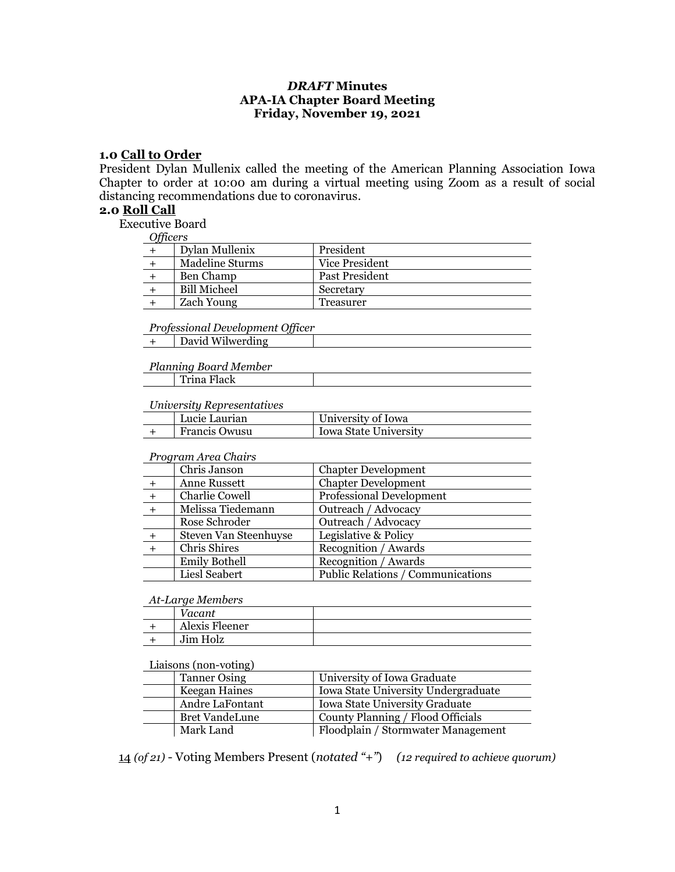## *DRAFT* **Minutes APA-IA Chapter Board Meeting Friday, November 19, 2021**

#### **1.0 Call to Order**

President Dylan Mullenix called the meeting of the American Planning Association Iowa Chapter to order at 10:00 am during a virtual meeting using Zoom as a result of social distancing recommendations due to coronavirus.

#### **2.0 Roll Call**

Executive Board

*Officers*

| <i>c</i> is a contract of |                   |                |
|---------------------------|-------------------|----------------|
|                           | Dylan Mullenix    | President      |
|                           | Madeline Sturms   | Vice President |
|                           | Ben Champ         | Past President |
|                           | Bill Micheel      | Secretary      |
|                           | <b>Zach Young</b> | Treasurer      |

*Professional Development Officer*

+ David Wilwerding

#### *Planning Board Member* Trina Flack

# *University Representatives*

| <i>Charles step eschiatives</i> |                      |                       |
|---------------------------------|----------------------|-----------------------|
|                                 | ∣ Lucie Laurian      | University of Iowa    |
|                                 | <b>Francis Owusu</b> | Iowa State University |

#### *Program Area Chairs*

|     | Chris Janson          | <b>Chapter Development</b>        |
|-----|-----------------------|-----------------------------------|
|     | Anne Russett          | <b>Chapter Development</b>        |
| $+$ | Charlie Cowell        | <b>Professional Development</b>   |
|     | Melissa Tiedemann     | Outreach / Advocacy               |
|     | Rose Schroder         | Outreach / Advocacy               |
|     | Steven Van Steenhuyse | Legislative & Policy              |
|     | Chris Shires          | Recognition / Awards              |
|     | <b>Emily Bothell</b>  | Recognition / Awards              |
|     | Liesl Seabert         | Public Relations / Communications |

#### *At-Large Members*

| Vacant         |  |
|----------------|--|
| Alexis Fleener |  |
| Jim Holz       |  |

#### Liaisons (non-voting)

| <b>Tanner Osing</b>   | University of Iowa Graduate         |  |
|-----------------------|-------------------------------------|--|
| Keegan Haines         | Iowa State University Undergraduate |  |
| Andre LaFontant       | Iowa State University Graduate      |  |
| <b>Bret VandeLune</b> | County Planning / Flood Officials   |  |
| Mark Land             | Floodplain / Stormwater Management  |  |

14 *(of 21)* - Voting Members Present (*notated "+"*) *(12 required to achieve quorum)*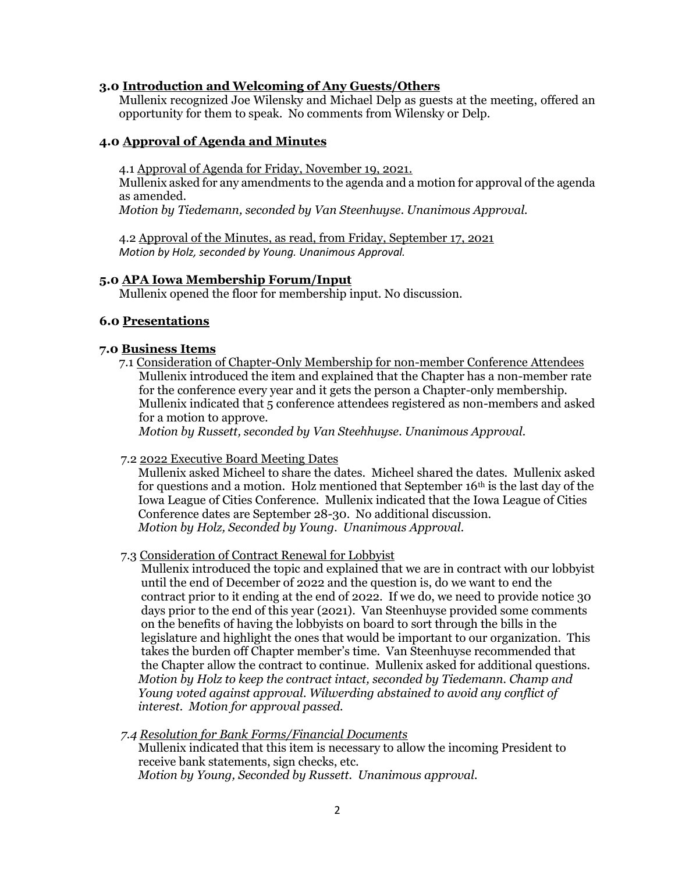## **3.0 Introduction and Welcoming of Any Guests/Others**

Mullenix recognized Joe Wilensky and Michael Delp as guests at the meeting, offered an opportunity for them to speak. No comments from Wilensky or Delp.

# **4.0 Approval of Agenda and Minutes**

4.1 Approval of Agenda for Friday, November 19, 2021.

Mullenix asked for any amendments to the agenda and a motion for approval of the agenda as amended.

*Motion by Tiedemann, seconded by Van Steenhuyse. Unanimous Approval.*

4.2 Approval of the Minutes, as read, from Friday, September 17, 2021 *Motion by Holz, seconded by Young. Unanimous Approval.*

### **5.0 APA Iowa Membership Forum/Input**

Mullenix opened the floor for membership input. No discussion.

### **6.0 Presentations**

### **7.0 Business Items**

7.1 Consideration of Chapter-Only Membership for non-member Conference Attendees Mullenix introduced the item and explained that the Chapter has a non-member rate for the conference every year and it gets the person a Chapter-only membership. Mullenix indicated that 5 conference attendees registered as non-members and asked for a motion to approve.

*Motion by Russett, seconded by Van Steehhuyse. Unanimous Approval.*

### 7.2 2022 Executive Board Meeting Dates

 Mullenix asked Micheel to share the dates. Micheel shared the dates. Mullenix asked for questions and a motion. Holz mentioned that September  $16<sup>th</sup>$  is the last day of the Iowa League of Cities Conference. Mullenix indicated that the Iowa League of Cities Conference dates are September 28-30. No additional discussion. *Motion by Holz, Seconded by Young. Unanimous Approval.*

### 7.3 Consideration of Contract Renewal for Lobbyist

 Mullenix introduced the topic and explained that we are in contract with our lobbyist until the end of December of 2022 and the question is, do we want to end the contract prior to it ending at the end of 2022. If we do, we need to provide notice 30 days prior to the end of this year (2021). Van Steenhuyse provided some comments on the benefits of having the lobbyists on board to sort through the bills in the legislature and highlight the ones that would be important to our organization. This takes the burden off Chapter member's time. Van Steenhuyse recommended that the Chapter allow the contract to continue. Mullenix asked for additional questions. *Motion by Holz to keep the contract intact, seconded by Tiedemann. Champ and Young voted against approval. Wilwerding abstained to avoid any conflict of interest. Motion for approval passed.*

#### *7.4 Resolution for Bank Forms/Financial Documents*

Mullenix indicated that this item is necessary to allow the incoming President to receive bank statements, sign checks, etc. *Motion by Young, Seconded by Russett. Unanimous approval.*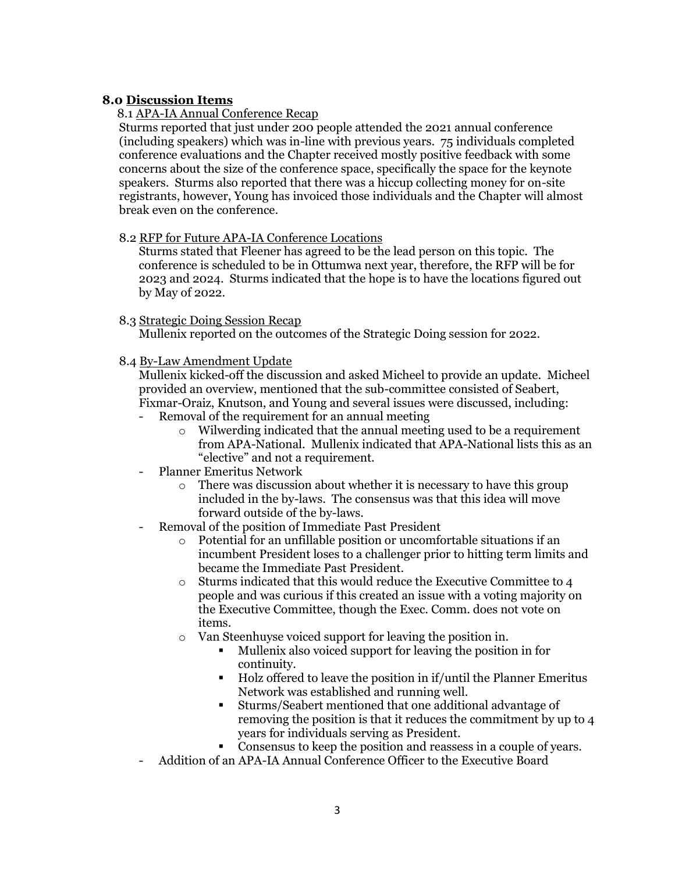# **8.0 Discussion Items**

# 8.1 APA-IA Annual Conference Recap

Sturms reported that just under 200 people attended the 2021 annual conference (including speakers) which was in-line with previous years. 75 individuals completed conference evaluations and the Chapter received mostly positive feedback with some concerns about the size of the conference space, specifically the space for the keynote speakers. Sturms also reported that there was a hiccup collecting money for on-site registrants, however, Young has invoiced those individuals and the Chapter will almost break even on the conference.

# 8.2 RFP for Future APA-IA Conference Locations

Sturms stated that Fleener has agreed to be the lead person on this topic. The conference is scheduled to be in Ottumwa next year, therefore, the RFP will be for 2023 and 2024. Sturms indicated that the hope is to have the locations figured out by May of 2022.

### 8.3 Strategic Doing Session Recap

Mullenix reported on the outcomes of the Strategic Doing session for 2022.

# 8.4 By-Law Amendment Update

Mullenix kicked-off the discussion and asked Micheel to provide an update. Micheel provided an overview, mentioned that the sub-committee consisted of Seabert, Fixmar-Oraiz, Knutson, and Young and several issues were discussed, including:

- Removal of the requirement for an annual meeting
	- o Wilwerding indicated that the annual meeting used to be a requirement from APA-National. Mullenix indicated that APA-National lists this as an "elective" and not a requirement.
- Planner Emeritus Network
	- o There was discussion about whether it is necessary to have this group included in the by-laws. The consensus was that this idea will move forward outside of the by-laws.
- Removal of the position of Immediate Past President
	- o Potential for an unfillable position or uncomfortable situations if an incumbent President loses to a challenger prior to hitting term limits and became the Immediate Past President.
	- o Sturms indicated that this would reduce the Executive Committee to 4 people and was curious if this created an issue with a voting majority on the Executive Committee, though the Exec. Comm. does not vote on items.
	- o Van Steenhuyse voiced support for leaving the position in.
		- Mullenix also voiced support for leaving the position in for continuity.
		- Holz offered to leave the position in if/until the Planner Emeritus Network was established and running well.
		- Sturms/Seabert mentioned that one additional advantage of removing the position is that it reduces the commitment by up to 4 years for individuals serving as President.
		- Consensus to keep the position and reassess in a couple of years.
- Addition of an APA-IA Annual Conference Officer to the Executive Board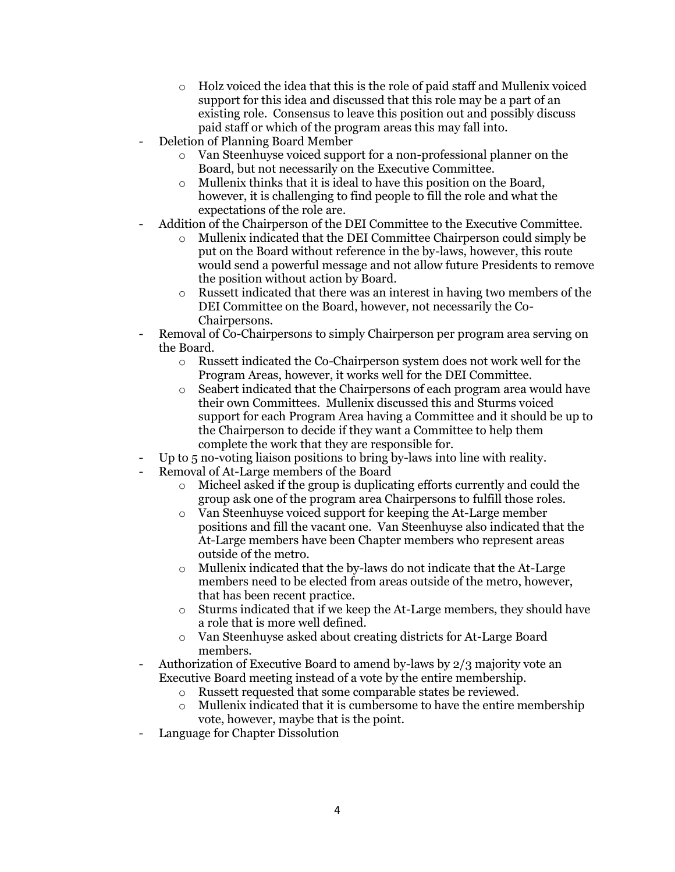- o Holz voiced the idea that this is the role of paid staff and Mullenix voiced support for this idea and discussed that this role may be a part of an existing role. Consensus to leave this position out and possibly discuss paid staff or which of the program areas this may fall into.
- Deletion of Planning Board Member
	- o Van Steenhuyse voiced support for a non-professional planner on the Board, but not necessarily on the Executive Committee.
	- o Mullenix thinks that it is ideal to have this position on the Board, however, it is challenging to find people to fill the role and what the expectations of the role are.
- Addition of the Chairperson of the DEI Committee to the Executive Committee.
	- o Mullenix indicated that the DEI Committee Chairperson could simply be put on the Board without reference in the by-laws, however, this route would send a powerful message and not allow future Presidents to remove the position without action by Board.
	- $\circ$  Russett indicated that there was an interest in having two members of the DEI Committee on the Board, however, not necessarily the Co-Chairpersons.
- Removal of Co-Chairpersons to simply Chairperson per program area serving on the Board.
	- o Russett indicated the Co-Chairperson system does not work well for the Program Areas, however, it works well for the DEI Committee.
	- o Seabert indicated that the Chairpersons of each program area would have their own Committees. Mullenix discussed this and Sturms voiced support for each Program Area having a Committee and it should be up to the Chairperson to decide if they want a Committee to help them complete the work that they are responsible for.
- Up to 5 no-voting liaison positions to bring by-laws into line with reality.
- Removal of At-Large members of the Board
	- o Micheel asked if the group is duplicating efforts currently and could the group ask one of the program area Chairpersons to fulfill those roles.
	- o Van Steenhuyse voiced support for keeping the At-Large member positions and fill the vacant one. Van Steenhuyse also indicated that the At-Large members have been Chapter members who represent areas outside of the metro.
	- $\circ$  Mullenix indicated that the by-laws do not indicate that the At-Large members need to be elected from areas outside of the metro, however, that has been recent practice.
	- $\circ$  Sturms indicated that if we keep the At-Large members, they should have a role that is more well defined.
	- o Van Steenhuyse asked about creating districts for At-Large Board members.
- Authorization of Executive Board to amend by-laws by 2/3 majority vote an Executive Board meeting instead of a vote by the entire membership.
	- o Russett requested that some comparable states be reviewed.
	- o Mullenix indicated that it is cumbersome to have the entire membership vote, however, maybe that is the point.
- Language for Chapter Dissolution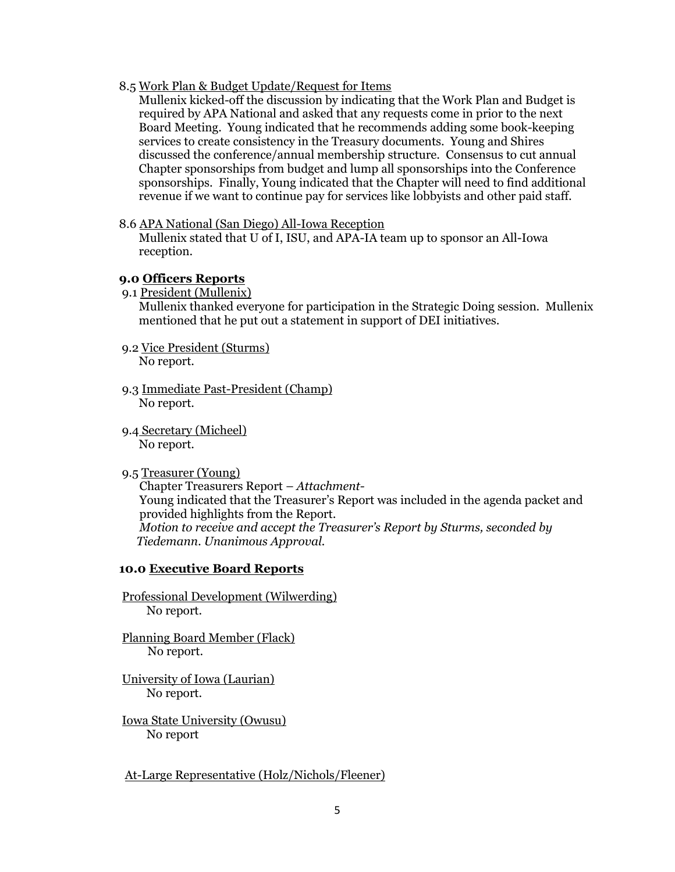8.5 Work Plan & Budget Update/Request for Items

Mullenix kicked-off the discussion by indicating that the Work Plan and Budget is required by APA National and asked that any requests come in prior to the next Board Meeting. Young indicated that he recommends adding some book-keeping services to create consistency in the Treasury documents. Young and Shires discussed the conference/annual membership structure. Consensus to cut annual Chapter sponsorships from budget and lump all sponsorships into the Conference sponsorships. Finally, Young indicated that the Chapter will need to find additional revenue if we want to continue pay for services like lobbyists and other paid staff.

8.6 APA National (San Diego) All-Iowa Reception

Mullenix stated that U of I, ISU, and APA-IA team up to sponsor an All-Iowa reception.

## **9.0 Officers Reports**

9.1 President (Mullenix)

Mullenix thanked everyone for participation in the Strategic Doing session. Mullenix mentioned that he put out a statement in support of DEI initiatives.

- 9.2 Vice President (Sturms) No report.
- 9.3 Immediate Past-President (Champ) No report.
- 9.4 Secretary (Micheel) No report.
- 9.5 Treasurer (Young)

 Chapter Treasurers Report – *Attachment-* Young indicated that the Treasurer's Report was included in the agenda packet and provided highlights from the Report.  *Motion to receive and accept the Treasurer's Report by Sturms, seconded by Tiedemann. Unanimous Approval.*

# **10.0 Executive Board Reports**

Professional Development (Wilwerding) No report.

- Planning Board Member (Flack) No report.
- University of Iowa (Laurian) No report.
- Iowa State University (Owusu) No report

At-Large Representative (Holz/Nichols/Fleener)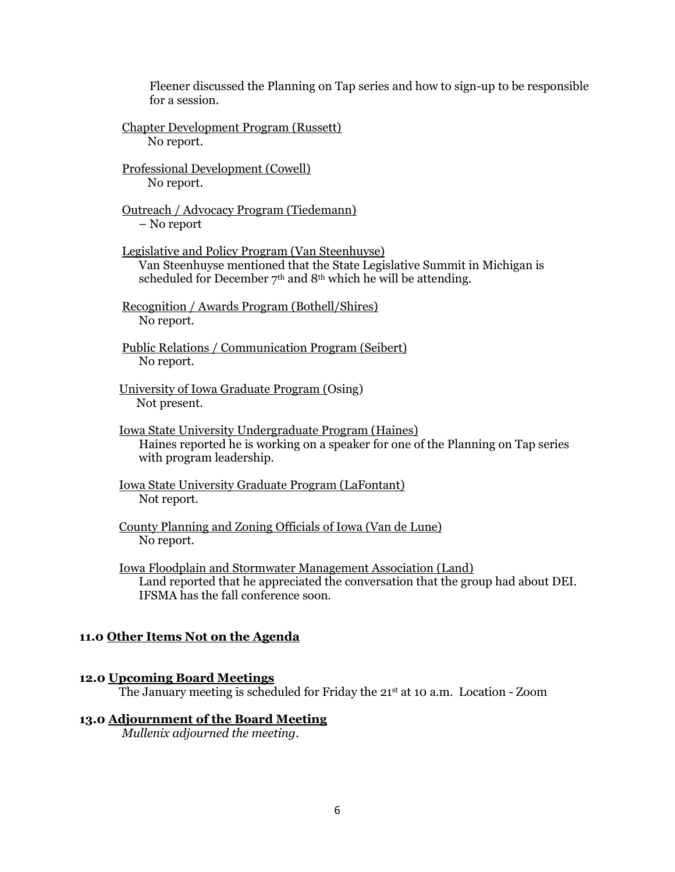Fleener discussed the Planning on Tap series and how to sign-up to be responsible for a session.

Chapter Development Program (Russett) No report.

Professional Development (Cowell) No report.

Outreach / Advocacy Program (Tiedemann) – No report

Legislative and Policy Program (Van Steenhuyse) Van Steenhuyse mentioned that the State Legislative Summit in Michigan is scheduled for December  $7<sup>th</sup>$  and  $8<sup>th</sup>$  which he will be attending.

Recognition / Awards Program (Bothell/Shires) No report.

Public Relations / Communication Program (Seibert) No report.

University of Iowa Graduate Program (Osing) Not present.

Iowa State University Undergraduate Program (Haines) Haines reported he is working on a speaker for one of the Planning on Tap series with program leadership.

Iowa State University Graduate Program (LaFontant) Not report.

County Planning and Zoning Officials of Iowa (Van de Lune) No report.

Iowa Floodplain and Stormwater Management Association (Land) Land reported that he appreciated the conversation that the group had about DEI. IFSMA has the fall conference soon.

## **11.0 Other Items Not on the Agenda**

## **12.0 Upcoming Board Meetings**

The January meeting is scheduled for Friday the 21st at 10 a.m. Location - Zoom

#### **13.0 Adjournment of the Board Meeting**

*Mullenix adjourned the meeting*.